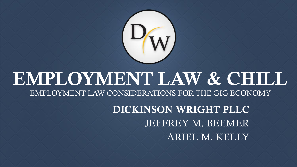

#### EMPLOYMENT LAW & CHILL EMPLOYMENT LAW CONSIDERATIONS FOR THE GIG ECONOMY

DICKINSON WRIGHT PLLC JEFFREY M. BEEMER ARIEL M. KELLY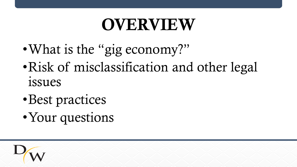## OVERVIEW

- •What is the "gig economy?"
- •Risk of misclassification and other legal issues
- •Best practices
- •Your questions

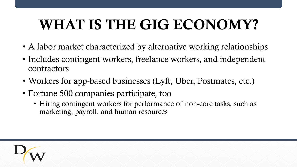## WHAT IS THE GIG ECONOMY?

- A labor market characterized by alternative working relationships
- Includes contingent workers, freelance workers, and independent contractors
- Workers for app-based businesses (Lyft, Uber, Postmates, etc.)
- Fortune 500 companies participate, too
	- Hiring contingent workers for performance of non-core tasks, such as marketing, payroll, and human resources

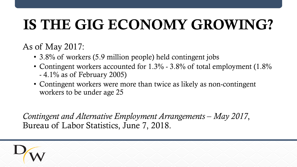## IS THE GIG ECONOMY GROWING?

As of May 2017:

- 3.8% of workers (5.9 million people) held contingent jobs
- Contingent workers accounted for 1.3% 3.8% of total employment (1.8%) - 4.1% as of February 2005)
- Contingent workers were more than twice as likely as non-contingent workers to be under age 25

Contingent and Alternative Employment Arrangements – May 2017, Bureau of Labor Statistics, June 7, 2018.

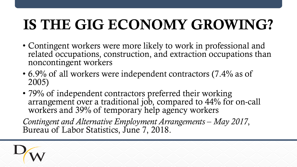## IS THE GIG ECONOMY GROWING?

- Contingent workers were more likely to work in professional and related occupations, construction, and extraction occupations than noncontingent workers
- 6.9% of all workers were independent contractors (7.4% as of 2005)
- 79% of independent contractors preferred their working arrangement over a traditional job, compared to 44% for on-call workers and 39% of temporary help agency workers

Contingent and Alternative Employment Arrangements – May 2017, Bureau of Labor Statistics, June 7, 2018.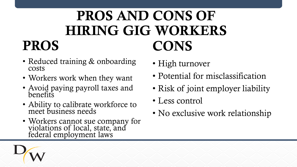### PROS AND CONS OF HIRING GIG WORKERS CONS

- Reduced training & onboarding costs
- Workers work when they want
- Avoid paying payroll taxes and benefits
- Ability to calibrate workforce to meet business needs
- Workers cannot sue company for violations of local, state, and federal employment laws
- High turnover
- Potential for misclassification
- Risk of joint employer liability
- Less control
- No exclusive work relationship



PROS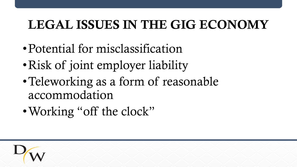#### LEGAL ISSUES IN THE GIG ECONOMY

- Potential for misclassification
- •Risk of joint employer liability
- •Teleworking as a form of reasonable accommodation
- •Working "off the clock"

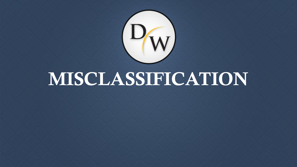

# MISCLASSIFICATION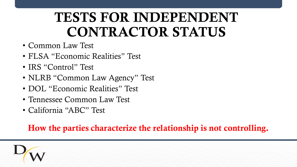### TESTS FOR INDEPENDENT CONTRACTOR STATUS

- Common Law Test
- FLSA "Economic Realities" Test
- IRS "Control" Test
- NLRB "Common Law Agency" Test
- DOL "Economic Realities" Test
- Tennessee Common Law Test
- California "ABC" Test

How the parties characterize the relationship is not controlling.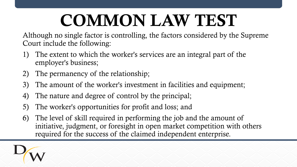# COMMON LAW TEST

Although no single factor is controlling, the factors considered by the Supreme Court include the following:

- 1) The extent to which the worker's services are an integral part of the employer's business;
- 2) The permanency of the relationship;
- 3) The amount of the worker's investment in facilities and equipment;
- 4) The nature and degree of control by the principal;
- 5) The worker's opportunities for profit and loss; and
- 6) The level of skill required in performing the job and the amount of initiative, judgment, or foresight in open market competition with others required for the success of the claimed independent enterprise.

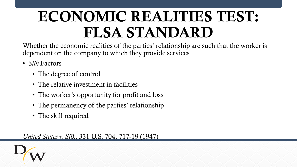## ECONOMIC REALITIES TEST: FLSA STANDARD

Whether the economic realities of the parties' relationship are such that the worker is dependent on the company to which they provide services.

- *Silk* Factors
	- The degree of control
	- The relative investment in facilities
	- The worker's opportunity for profit and loss
	- The permanency of the parties' relationship
	- The skill required

*United States v. Silk*, 331 U.S. 704, 717-19 (1947)

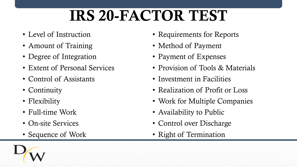## IRS 20-FACTOR TEST

- Level of Instruction
- Amount of Training
- Degree of Integration
- Extent of Personal Services
- Control of Assistants
- Continuity
- Flexibility
- Full-time Work
- On-site Services
- Sequence of Work
- Requirements for Reports
- Method of Payment
- Payment of Expenses
- Provision of Tools & Materials
- Investment in Facilities
- Realization of Profit or Loss
- Work for Multiple Companies
- Availability to Public
- Control over Discharge
- Right of Termination

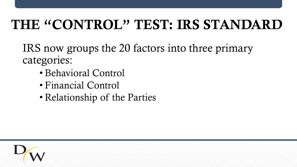### THE "CONTROL" TEST: IRS STANDARD

IRS now groups the 20 factors into three primary categories:

- Behavioral Control
- Financial Control
- Relationship of the Parties

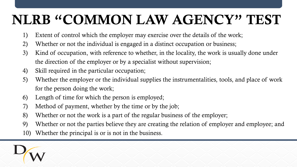### NLRB "COMMON LAW AGENCY" TEST

- 1) Extent of control which the employer may exercise over the details of the work;
- 2) Whether or not the individual is engaged in a distinct occupation or business;
- 3) Kind of occupation, with reference to whether, in the locality, the work is usually done under the direction of the employer or by a specialist without supervision;
- 4) Skill required in the particular occupation;
- 5) Whether the employer or the individual supplies the instrumentalities, tools, and place of work for the person doing the work;
- 6) Length of time for which the person is employed;
- 7) Method of payment, whether by the time or by the job;
- 8) Whether or not the work is a part of the regular business of the employer;
- 9) Whether or not the parties believe they are creating the relation of employer and employee; and
- 10) Whether the principal is or is not in the business.

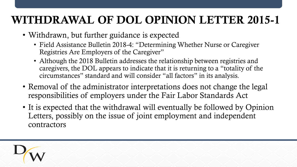#### WITHDRAWAL OF DOL OPINION LETTER 2015-1

- Withdrawn, but further guidance is expected
	- Field Assistance Bulletin 2018-4: "Determining Whether Nurse or Caregiver Registries Are Employers of the Caregiver"
	- Although the 2018 Bulletin addresses the relationship between registries and caregivers, the DOL appears to indicate that it is returning to a "totality of the circumstances" standard and will consider "all factors" in its analysis.
- Removal of the administrator interpretations does not change the legal responsibilities of employers under the Fair Labor Standards Act
- It is expected that the withdrawal will eventually be followed by Opinion Letters, possibly on the issue of joint employment and independent contractors

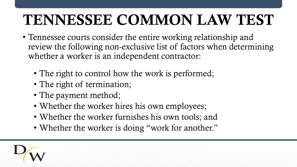## TENNESSEE COMMON LAW TEST

- Tennessee courts consider the entire working relationship and review the following non-exclusive list of factors when determining whether a worker is an independent contractor:
	- The right to control how the work is performed;
	- The right of termination;
	- The payment method;
	- Whether the worker hires his own employees;
	- Whether the worker furnishes his own tools; and
	- Whether the worker is doing "work for another."

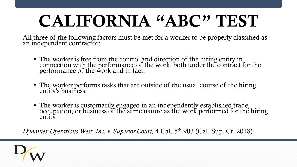# CALIFORNIA "ABC" TEST

All three of the following factors must be met for a worker to be properly classified as an independent contractor:

- The worker is free from the control and direction of the hiring entity in connection with the performance of the work, both under the contract for the performance of the work and in fact.
- The worker performs tasks that are outside of the usual course of the hiring entity's business.
- The worker is customarily engaged in an independently established trade, occupation, or business of the same nature as the work performed for the hiring entity.

*Dynamex Operations West, Inc. v. Superior Court,* 4 Cal. 5th 903 (Cal. Sup. Ct. 2018)

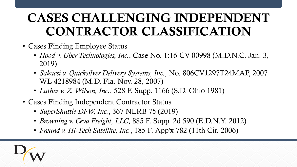#### CASES CHALLENGING INDEPENDENT CONTRACTOR CLASSIFICATION

- Cases Finding Employee Status
	- *Hood v. Uber Technologies, Inc.*, Case No. 1:16-CV-00998 (M.D.N.C. Jan. 3, 2019)
	- *Sakacsi v. Quicksilver Delivery Systems, Inc.*, No. 806CV1297T24MAP, 2007 WL 4218984 (M.D. Fla. Nov. 28, 2007)
	- *Luther v. Z. Wilson, Inc.*, 528 F. Supp. 1166 (S.D. Ohio 1981)
- Cases Finding Independent Contractor Status
	- *SuperShuttle DFW, Inc.*, 367 NLRB 75 (2019)
	- *Browning v. Ceva Freight, LLC*, 885 F. Supp. 2d 590 (E.D.N.Y. 2012)
	- *Freund v. Hi-Tech Satellite, Inc.*, 185 F. App'x 782 (11th Cir. 2006)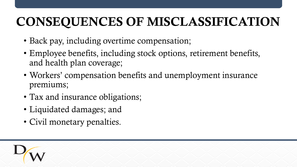#### CONSEQUENCES OF MISCLASSIFICATION

- Back pay, including overtime compensation;
- Employee benefits, including stock options, retirement benefits, and health plan coverage;
- Workers' compensation benefits and unemployment insurance premiums;
- Tax and insurance obligations;
- Liquidated damages; and
- Civil monetary penalties.

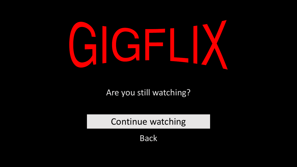

Are you still watching?

Continue watching

Back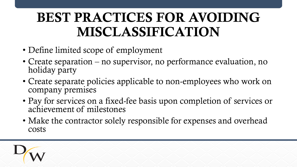### BEST PRACTICES FOR AVOIDING MISCLASSIFICATION

- Define limited scope of employment
- Create separation no supervisor, no performance evaluation, no holiday party
- Create separate policies applicable to non-employees who work on company premises
- Pay for services on a fixed-fee basis upon completion of services or achievement of milestones
- Make the contractor solely responsible for expenses and overhead costs

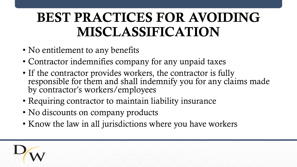### BEST PRACTICES FOR AVOIDING MISCLASSIFICATION

- No entitlement to any benefits
- Contractor indemnifies company for any unpaid taxes
- If the contractor provides workers, the contractor is fully responsible for them and shall indemnify you for any claims made by contractor's workers/employees
- Requiring contractor to maintain liability insurance
- No discounts on company products
- Know the law in all jurisdictions where you have workers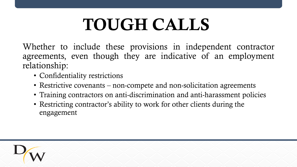# TOUGH CALLS

Whether to include these provisions in independent contractor agreements, even though they are indicative of an employment relationship:

- Confidentiality restrictions
- Restrictive covenants non-compete and non-solicitation agreements
- Training contractors on anti-discrimination and anti-harassment policies
- Restricting contractor's ability to work for other clients during the engagement

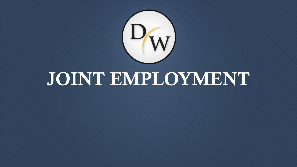

# JOINT EMPLOYMENT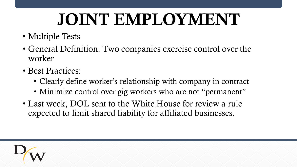# JOINT EMPLOYMENT

- Multiple Tests
- General Definition: Two companies exercise control over the worker
- Best Practices:
	- Clearly define worker's relationship with company in contract
	- Minimize control over gig workers who are not "permanent"
- Last week, DOL sent to the White House for review a rule expected to limit shared liability for affiliated businesses.

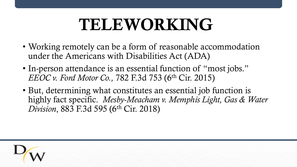## TELEWORKING

- Working remotely can be a form of reasonable accommodation under the Americans with Disabilities Act (ADA)
- In-person attendance is an essential function of "most jobs." *EEOC v. Ford Motor Co.,* 782 F.3d 753 (6th Cir. 2015)
- But, determining what constitutes an essential job function is highly fact specific. *Mesby-Meacham v. Memphis Light, Gas & Water Division*, 883 F.3d 595 (6th Cir. 2018)

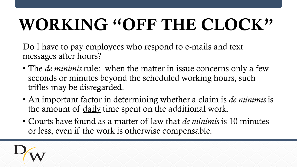# WORKING "OFF THE CLOCK"

Do I have to pay employees who respond to e-mails and text messages after hours?

- The *de minimis* rule: when the matter in issue concerns only a few seconds or minutes beyond the scheduled working hours, such trifles may be disregarded.
- An important factor in determining whether a claim is *de minimis* is the amount of daily time spent on the additional work.
- Courts have found as a matter of law that *de minimis* is 10 minutes or less, even if the work is otherwise compensable.